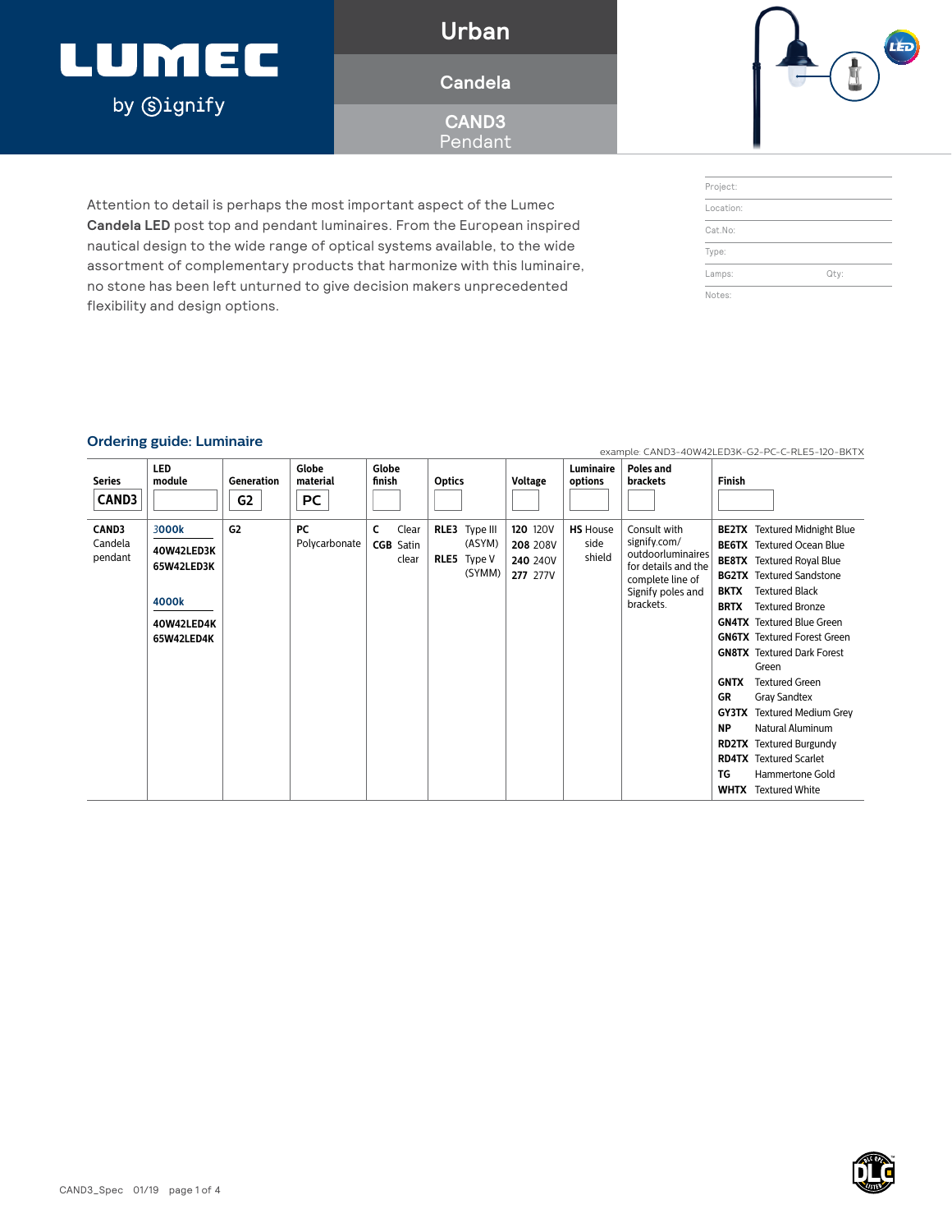### LUMEC by **Signify**

**Urban**

### **Candela**

**CAND3** Pendant

Attention to detail is perhaps the most important aspect of the Lumec **Candela LED** post top and pendant luminaires. From the European inspired nautical design to the wide range of optical systems available, to the wide assortment of complementary products that harmonize with this luminaire, no stone has been left unturned to give decision makers unprecedented



| Project:  |      |  |
|-----------|------|--|
| Location: |      |  |
| Cat.No:   |      |  |
| Type:     |      |  |
| Lamps:    | Qty: |  |

### **Ordering guide: Luminaire**

flexibility and design options.

| <b>Series</b><br><b>CAND3</b> | <b>LED</b><br>module                                                   | Generation<br>G <sub>2</sub> | Globe<br>material<br>PC | Globe<br>finish                         | <b>Optics</b>                                    | <b>Voltage</b>                                             | Luminaire<br>options              | Poles and<br><b>brackets</b>                                                                                                   | <b>Finish</b>                                                      |                                                                                                                                                                                                                                                                                                                                                                                                                                                                                                                                                        |
|-------------------------------|------------------------------------------------------------------------|------------------------------|-------------------------|-----------------------------------------|--------------------------------------------------|------------------------------------------------------------|-----------------------------------|--------------------------------------------------------------------------------------------------------------------------------|--------------------------------------------------------------------|--------------------------------------------------------------------------------------------------------------------------------------------------------------------------------------------------------------------------------------------------------------------------------------------------------------------------------------------------------------------------------------------------------------------------------------------------------------------------------------------------------------------------------------------------------|
| CAND3<br>Candela<br>pendant   | 3000k<br>40W42LED3K<br>65W42LED3K<br>4000k<br>40W42LED4K<br>65W42LED4K | G2                           | PC<br>Polycarbonate     | Clear<br>C<br><b>CGB</b> Satin<br>clear | RLE3 Type III<br>(ASYM)<br>RLE5 Type V<br>(SYMM) | <b>120 120V</b><br>208 208V<br>240 240V<br><b>277</b> 277V | <b>HS</b> House<br>side<br>shield | Consult with<br>signify.com/<br>outdoorluminaires<br>for details and the<br>complete line of<br>Signify poles and<br>brackets. | <b>BKTX</b><br><b>BRTX</b><br><b>GNTX</b><br>GR<br><b>NP</b><br>TG | <b>BE2TX</b> Textured Midnight Blue<br><b>BE6TX</b> Textured Ocean Blue<br><b>BE8TX</b> Textured Royal Blue<br><b>BG2TX</b> Textured Sandstone<br><b>Textured Black</b><br><b>Textured Bronze</b><br><b>GN4TX</b> Textured Blue Green<br><b>GN6TX</b> Textured Forest Green<br><b>GN8TX</b> Textured Dark Forest<br>Green<br><b>Textured Green</b><br><b>Gray Sandtex</b><br><b>GY3TX</b> Textured Medium Grey<br>Natural Aluminum<br><b>RD2TX</b> Textured Burgundy<br><b>RD4TX</b> Textured Scarlet<br>Hammertone Gold<br><b>WHTX</b> Textured White |

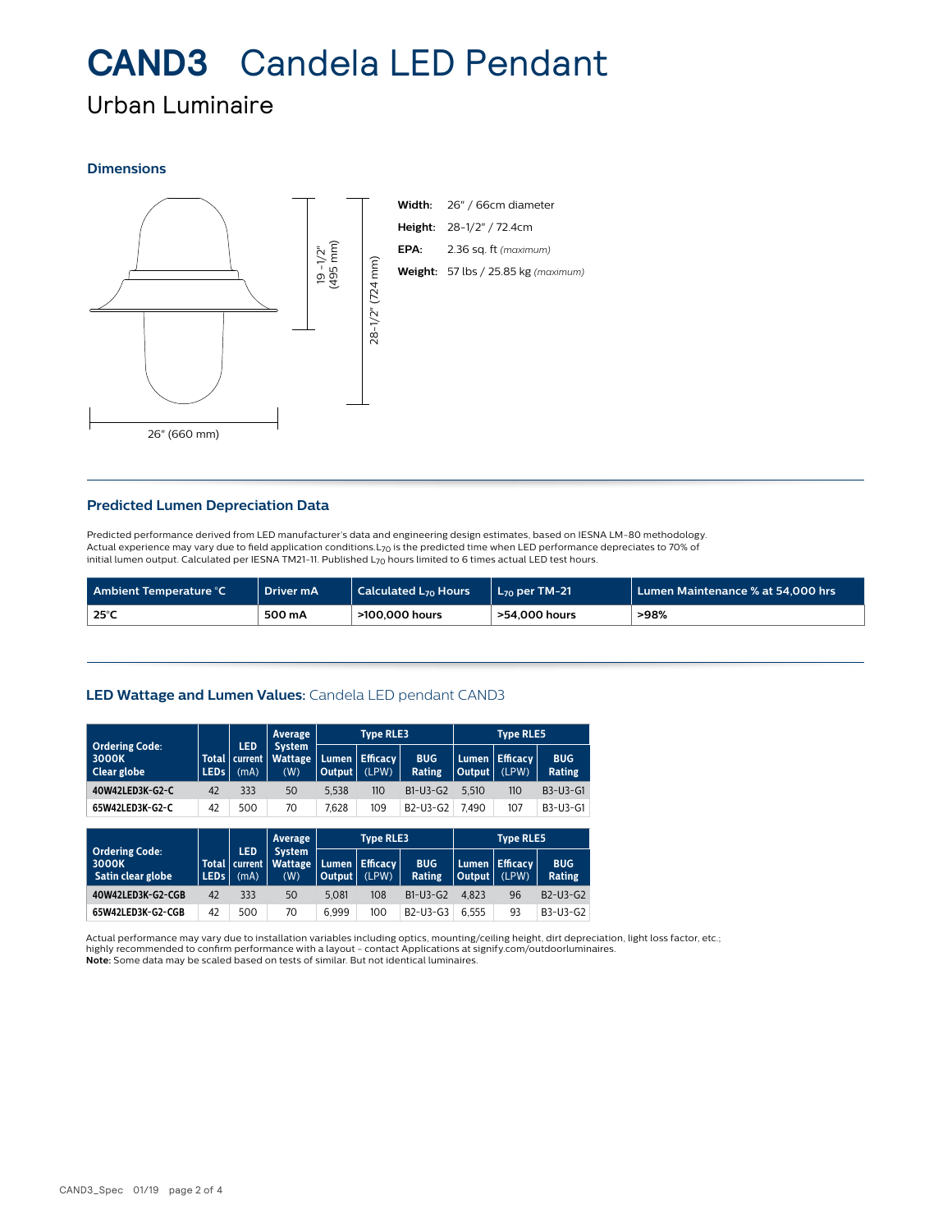## **CAND3** Candela LED Pendant

### Urban Luminaire

### **Dimensions**



### **Predicted Lumen Depreciation Data**

Predicted performance derived from LED manufacturer's data and engineering design estimates, based on IESNA LM-80 methodology. Actual experience may vary due to field application conditions. L<sub>70</sub> is the predicted time when LED performance depreciates to 70% of initial lumen output. Calculated per IESNA TM21-11. Published  $L_{70}$  hours limited to 6 times actual LED test hours.

| Ambient Temperature °C | Driver mA | $\mid$ Calculated L $_{70}$ Hours | <b>L<sub>70</sub> per TM-21</b> | $\blacksquare$ Lumen Maintenance % at 54.000 hrs $\blacksquare$ |
|------------------------|-----------|-----------------------------------|---------------------------------|-----------------------------------------------------------------|
| 25°C                   | 500 mA    | >100,000 hours                    | >54.000 hours                   | >98%                                                            |

### **LED Wattage and Lumen Values:** Candela LED pendant CAND3

|                                                     |                             |                               | Average                                |                        | <b>Type RLE3</b>         |                                                |                  | <b>Type RLE5</b>         |                      |
|-----------------------------------------------------|-----------------------------|-------------------------------|----------------------------------------|------------------------|--------------------------|------------------------------------------------|------------------|--------------------------|----------------------|
| <b>Ordering Code:</b><br>3000K<br>Clear globe       | <b>Total</b><br><b>LEDs</b> | <b>LED</b><br>current<br>(mA) | <b>System</b><br><b>Wattage</b><br>(W) | Lumen<br><b>Output</b> | <b>Efficacy</b><br>(LPW) | <b>BUG</b><br>Rating                           | Lumen.<br>Output | <b>Efficacy</b><br>(LPW) | <b>BUG</b><br>Rating |
| 40W42LED3K-G2-C                                     | 42                          | 333                           | 50                                     | 5.538                  | 110                      | B1-U3-G2                                       | 5.510            | 110                      | B3-U3-G1             |
| 65W42LED3K-G2-C                                     | 42                          | 500                           | 70                                     | 7.628                  | 109                      | B <sub>2</sub> -U <sub>3</sub> -G <sub>2</sub> | 7.490            | 107                      | B3-U3-G1             |
|                                                     |                             |                               |                                        |                        |                          |                                                |                  |                          |                      |
|                                                     |                             |                               |                                        |                        |                          |                                                |                  |                          |                      |
|                                                     |                             |                               | Average                                |                        | <b>Type RLE3</b>         |                                                |                  | <b>Type RLE5</b>         |                      |
| <b>Ordering Code:</b><br>3000K<br>Satin clear globe | <b>Total</b><br><b>LEDS</b> | <b>LED</b><br>current<br>(mA) | <b>System</b><br><b>Wattage</b><br>(W) | Lumen<br><b>Output</b> | <b>Efficacy</b><br>(LPW) | <b>BUG</b><br>Rating                           | Lumen.<br>Output | <b>Efficacy</b><br>(LPW) | <b>BUG</b><br>Rating |
| 40W42LED3K-G2-CGB                                   | 42                          | 333                           | 50                                     | 5.081                  | 108                      | $B1-U3-G2$                                     | 4.823            | 96                       | $B2-U3-G2$           |

Actual performance may vary due to installation variables including optics, mounting/ceiling height, dirt depreciation, light loss factor, etc.; highly recommended to confirm performance with a layout - contact Applications at signify.com/outdoorluminaires. **Note:** Some data may be scaled based on tests of similar. But not identical luminaires.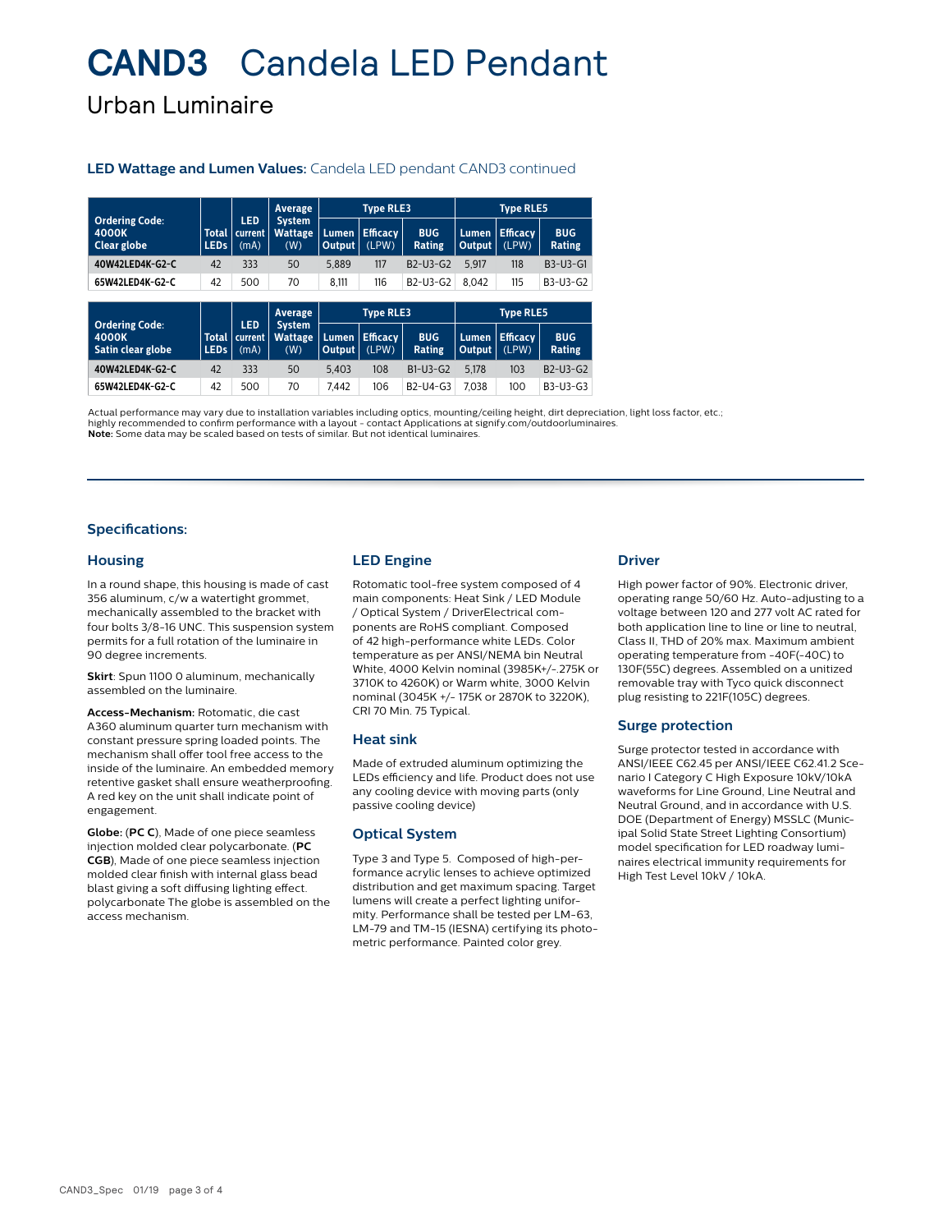## **CAND3** Candela LED Pendant

Urban Luminaire

### **LED Wattage and Lumen Values:** Candela LED pendant CAND3 continued

|                                                     |                             |                               | Average                                | <b>Type RLE3</b> |                          |                                                | <b>Type RLE5</b> |                          |                      |
|-----------------------------------------------------|-----------------------------|-------------------------------|----------------------------------------|------------------|--------------------------|------------------------------------------------|------------------|--------------------------|----------------------|
| <b>Ordering Code:</b><br>4000K<br>Clear globe       | <b>Total</b><br><b>LEDs</b> | <b>LED</b><br>current<br>(mA) | <b>System</b><br><b>Wattage</b><br>(W) | Lumen,<br>Output | <b>Efficacy</b><br>(LPW) | <b>BUG</b><br>Rating                           | Lumen<br>Output  | <b>Efficacy</b><br>(LPW) | <b>BUG</b><br>Rating |
| 40W42LED4K-G2-C                                     | 42                          | 333                           | 50                                     | 5.889            | 117                      | B2-U3-G2                                       | 5.917            | 118                      | B3-U3-G1             |
| 65W42LED4K-G2-C                                     | 42                          | 500                           | 70                                     | 8,111            | 116                      | B <sub>2</sub> -U <sub>3</sub> -G <sub>2</sub> | 8.042            | 115                      | B3-U3-G2             |
|                                                     |                             |                               |                                        |                  |                          |                                                |                  |                          |                      |
|                                                     |                             |                               |                                        |                  |                          |                                                |                  |                          |                      |
|                                                     |                             |                               | Average                                |                  | <b>Type RLE3</b>         |                                                |                  | <b>Type RLE5</b>         |                      |
| <b>Ordering Code:</b><br>4000K<br>Satin clear globe | <b>Total</b><br><b>LEDs</b> | <b>LED</b><br>current<br>(mA) | <b>System</b><br><b>Wattage</b><br>(W) | Lumen<br>Output  | <b>Efficacy</b><br>(LPW) | <b>BUG</b><br><b>Rating</b>                    | Lumen<br>Output  | <b>Efficacy</b><br>(LPW) | <b>BUG</b><br>Rating |
| 40W42LED4K-G2-C                                     | 42                          | 333                           | 50                                     | 5.403            | 108                      | $B1-U3-G2$                                     | 5.178            | 103                      | $B2-U3-G2$           |

Actual performance may vary due to installation variables including optics, mounting/ceiling height, dirt depreciation, light loss factor, etc.; highly recommended to confirm performance with a layout - contact Applications at signify.com/outdoorluminaires. **Note:** Some data may be scaled based on tests of similar. But not identical luminaires.

### **Specifications:**

### **Housing**

In a round shape, this housing is made of cast 356 aluminum, c/w a watertight grommet, mechanically assembled to the bracket with four bolts 3/8-16 UNC. This suspension system permits for a full rotation of the luminaire in 90 degree increments.

**Skirt**: Spun 1100 0 aluminum, mechanically assembled on the luminaire.

**Access-Mechanism:** Rotomatic, die cast A360 aluminum quarter turn mechanism with constant pressure spring loaded points. The mechanism shall offer tool free access to the inside of the luminaire. An embedded memory retentive gasket shall ensure weatherproofing. A red key on the unit shall indicate point of engagement.

**Globe:** (**PC C**), Made of one piece seamless injection molded clear polycarbonate. (**PC CGB**), Made of one piece seamless injection molded clear finish with internal glass bead blast giving a soft diffusing lighting effect. polycarbonate The globe is assembled on the access mechanism.

### **LED Engine**

Rotomatic tool-free system composed of 4 main components: Heat Sink / LED Module / Optical System / DriverElectrical components are RoHS compliant. Composed of 42 high-performance white LEDs. Color temperature as per ANSI/NEMA bin Neutral White, 4000 Kelvin nominal (3985K+/-.275K or 3710K to 4260K) or Warm white, 3000 Kelvin nominal (3045K +/- 175K or 2870K to 3220K), CRI 70 Min. 75 Typical.

### **Heat sink**

Made of extruded aluminum optimizing the LEDs efficiency and life. Product does not use any cooling device with moving parts (only passive cooling device)

### **Optical System**

Type 3 and Type 5. Composed of high-performance acrylic lenses to achieve optimized distribution and get maximum spacing. Target lumens will create a perfect lighting uniformity. Performance shall be tested per LM-63, LM-79 and TM-15 (IESNA) certifying its photometric performance. Painted color grey.

### **Driver**

High power factor of 90%. Electronic driver, operating range 50/60 Hz. Auto-adjusting to a voltage between 120 and 277 volt AC rated for both application line to line or line to neutral, Class II, THD of 20% max. Maximum ambient operating temperature from -40F(-40C) to 130F(55C) degrees. Assembled on a unitized removable tray with Tyco quick disconnect plug resisting to 221F(105C) degrees.

### **Surge protection**

Surge protector tested in accordance with ANSI/IEEE C62.45 per ANSI/IEEE C62.41.2 Scenario I Category C High Exposure 10kV/10kA waveforms for Line Ground, Line Neutral and Neutral Ground, and in accordance with U.S. DOE (Department of Energy) MSSLC (Municipal Solid State Street Lighting Consortium) model specification for LED roadway luminaires electrical immunity requirements for High Test Level 10kV / 10kA.